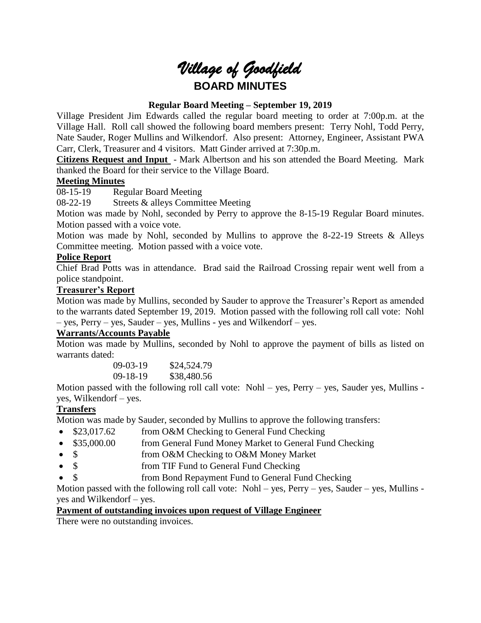# *Village of Goodfield* **BOARD MINUTES**

# **Regular Board Meeting – September 19, 2019**

Village President Jim Edwards called the regular board meeting to order at 7:00p.m. at the Village Hall. Roll call showed the following board members present: Terry Nohl, Todd Perry, Nate Sauder, Roger Mullins and Wilkendorf. Also present: Attorney, Engineer, Assistant PWA Carr, Clerk, Treasurer and 4 visitors. Matt Ginder arrived at 7:30p.m.

**Citizens Request and Input** - Mark Albertson and his son attended the Board Meeting. Mark thanked the Board for their service to the Village Board.

#### **Meeting Minutes**

08-15-19 Regular Board Meeting

08-22-19 Streets & alleys Committee Meeting

Motion was made by Nohl, seconded by Perry to approve the 8-15-19 Regular Board minutes. Motion passed with a voice vote.

Motion was made by Nohl, seconded by Mullins to approve the 8-22-19 Streets & Alleys Committee meeting. Motion passed with a voice vote.

# **Police Report**

Chief Brad Potts was in attendance. Brad said the Railroad Crossing repair went well from a police standpoint.

## **Treasurer's Report**

Motion was made by Mullins, seconded by Sauder to approve the Treasurer's Report as amended to the warrants dated September 19, 2019. Motion passed with the following roll call vote: Nohl – yes, Perry – yes, Sauder – yes, Mullins - yes and Wilkendorf – yes.

# **Warrants/Accounts Payable**

Motion was made by Mullins, seconded by Nohl to approve the payment of bills as listed on warrants dated:

> 09-03-19 \$24,524.79 09-18-19 \$38,480.56

Motion passed with the following roll call vote: Nohl – yes, Perry – yes, Sauder yes, Mullins yes, Wilkendorf – yes.

# **Transfers**

Motion was made by Sauder, seconded by Mullins to approve the following transfers:

- \$23,017.62 from O&M Checking to General Fund Checking
- \$35,000.00 from General Fund Money Market to General Fund Checking
- \$ from O&M Checking to O&M Money Market
- \$ from TIF Fund to General Fund Checking
- \$ from Bond Repayment Fund to General Fund Checking

Motion passed with the following roll call vote: Nohl – yes, Perry – yes, Sauder – yes, Mullins yes and Wilkendorf – yes.

# **Payment of outstanding invoices upon request of Village Engineer**

There were no outstanding invoices.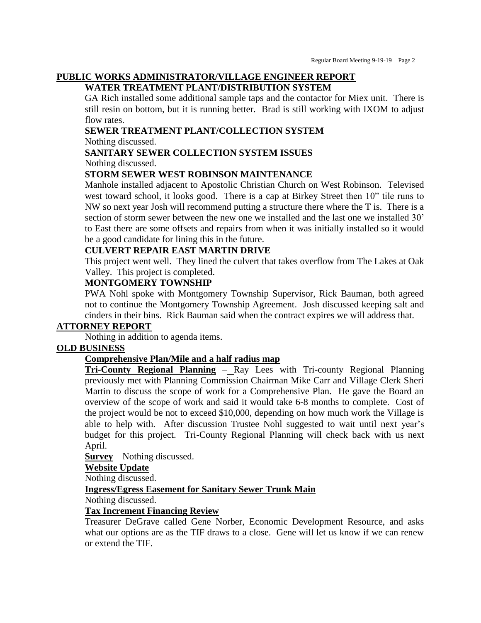# **PUBLIC WORKS ADMINISTRATOR/VILLAGE ENGINEER REPORT**

# **WATER TREATMENT PLANT/DISTRIBUTION SYSTEM**

GA Rich installed some additional sample taps and the contactor for Miex unit. There is still resin on bottom, but it is running better. Brad is still working with IXOM to adjust flow rates.

# **SEWER TREATMENT PLANT/COLLECTION SYSTEM**

Nothing discussed.

# **SANITARY SEWER COLLECTION SYSTEM ISSUES**

Nothing discussed.

# **STORM SEWER WEST ROBINSON MAINTENANCE**

Manhole installed adjacent to Apostolic Christian Church on West Robinson. Televised west toward school, it looks good. There is a cap at Birkey Street then 10" tile runs to NW so next year Josh will recommend putting a structure there where the T is. There is a section of storm sewer between the new one we installed and the last one we installed 30' to East there are some offsets and repairs from when it was initially installed so it would be a good candidate for lining this in the future.

# **CULVERT REPAIR EAST MARTIN DRIVE**

This project went well. They lined the culvert that takes overflow from The Lakes at Oak Valley. This project is completed.

#### **MONTGOMERY TOWNSHIP**

PWA Nohl spoke with Montgomery Township Supervisor, Rick Bauman, both agreed not to continue the Montgomery Township Agreement. Josh discussed keeping salt and cinders in their bins. Rick Bauman said when the contract expires we will address that.

# **ATTORNEY REPORT**

Nothing in addition to agenda items.

#### **OLD BUSINESS**

# **Comprehensive Plan/Mile and a half radius map**

**Tri-County Regional Planning** – Ray Lees with Tri-county Regional Planning previously met with Planning Commission Chairman Mike Carr and Village Clerk Sheri Martin to discuss the scope of work for a Comprehensive Plan. He gave the Board an overview of the scope of work and said it would take 6-8 months to complete. Cost of the project would be not to exceed \$10,000, depending on how much work the Village is able to help with. After discussion Trustee Nohl suggested to wait until next year's budget for this project. Tri-County Regional Planning will check back with us next April.

**Survey** – Nothing discussed.

#### **Website Update**

Nothing discussed.

# **Ingress/Egress Easement for Sanitary Sewer Trunk Main**

Nothing discussed.

# **Tax Increment Financing Review**

Treasurer DeGrave called Gene Norber, Economic Development Resource, and asks what our options are as the TIF draws to a close. Gene will let us know if we can renew or extend the TIF.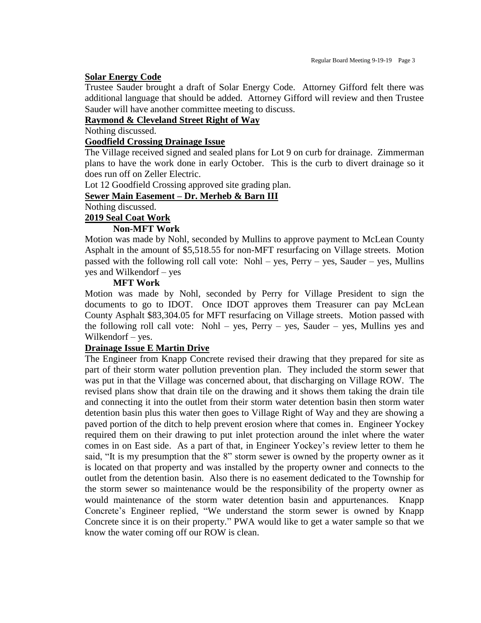#### **Solar Energy Code**

Trustee Sauder brought a draft of Solar Energy Code. Attorney Gifford felt there was additional language that should be added. Attorney Gifford will review and then Trustee Sauder will have another committee meeting to discuss.

#### **Raymond & Cleveland Street Right of Way**

Nothing discussed.

#### **Goodfield Crossing Drainage Issue**

The Village received signed and sealed plans for Lot 9 on curb for drainage. Zimmerman plans to have the work done in early October. This is the curb to divert drainage so it does run off on Zeller Electric.

Lot 12 Goodfield Crossing approved site grading plan.

# **Sewer Main Easement – Dr. Merheb & Barn III**

Nothing discussed.

#### **2019 Seal Coat Work**

#### **Non-MFT Work**

Motion was made by Nohl, seconded by Mullins to approve payment to McLean County Asphalt in the amount of \$5,518.55 for non-MFT resurfacing on Village streets. Motion passed with the following roll call vote: Nohl – yes, Perry – yes, Sauder – yes, Mullins yes and Wilkendorf – yes

#### **MFT Work**

Motion was made by Nohl, seconded by Perry for Village President to sign the documents to go to IDOT. Once IDOT approves them Treasurer can pay McLean County Asphalt \$83,304.05 for MFT resurfacing on Village streets. Motion passed with the following roll call vote: Nohl – yes, Perry – yes, Sauder – yes, Mullins yes and Wilkendorf – yes.

#### **Drainage Issue E Martin Drive**

The Engineer from Knapp Concrete revised their drawing that they prepared for site as part of their storm water pollution prevention plan. They included the storm sewer that was put in that the Village was concerned about, that discharging on Village ROW. The revised plans show that drain tile on the drawing and it shows them taking the drain tile and connecting it into the outlet from their storm water detention basin then storm water detention basin plus this water then goes to Village Right of Way and they are showing a paved portion of the ditch to help prevent erosion where that comes in. Engineer Yockey required them on their drawing to put inlet protection around the inlet where the water comes in on East side. As a part of that, in Engineer Yockey's review letter to them he said, "It is my presumption that the 8" storm sewer is owned by the property owner as it is located on that property and was installed by the property owner and connects to the outlet from the detention basin. Also there is no easement dedicated to the Township for the storm sewer so maintenance would be the responsibility of the property owner as would maintenance of the storm water detention basin and appurtenances. Knapp Concrete's Engineer replied, "We understand the storm sewer is owned by Knapp Concrete since it is on their property." PWA would like to get a water sample so that we know the water coming off our ROW is clean.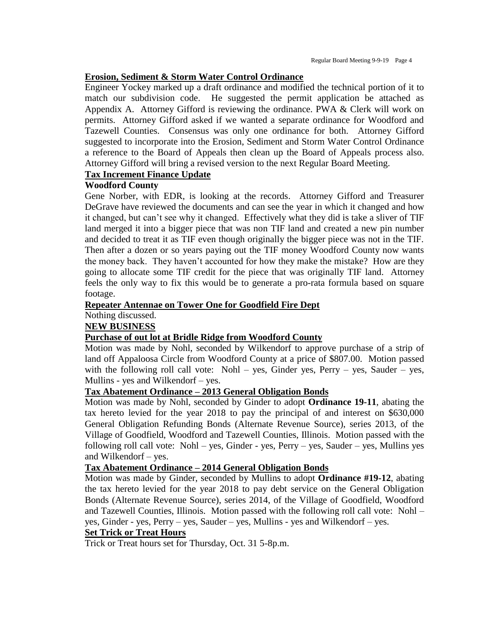#### **Erosion, Sediment & Storm Water Control Ordinance**

Engineer Yockey marked up a draft ordinance and modified the technical portion of it to match our subdivision code. He suggested the permit application be attached as Appendix A. Attorney Gifford is reviewing the ordinance. PWA & Clerk will work on permits. Attorney Gifford asked if we wanted a separate ordinance for Woodford and Tazewell Counties. Consensus was only one ordinance for both. Attorney Gifford suggested to incorporate into the Erosion, Sediment and Storm Water Control Ordinance a reference to the Board of Appeals then clean up the Board of Appeals process also. Attorney Gifford will bring a revised version to the next Regular Board Meeting.

# **Tax Increment Finance Update**

#### **Woodford County**

Gene Norber, with EDR, is looking at the records. Attorney Gifford and Treasurer DeGrave have reviewed the documents and can see the year in which it changed and how it changed, but can't see why it changed. Effectively what they did is take a sliver of TIF land merged it into a bigger piece that was non TIF land and created a new pin number and decided to treat it as TIF even though originally the bigger piece was not in the TIF. Then after a dozen or so years paying out the TIF money Woodford County now wants the money back. They haven't accounted for how they make the mistake? How are they going to allocate some TIF credit for the piece that was originally TIF land. Attorney feels the only way to fix this would be to generate a pro-rata formula based on square footage.

#### **Repeater Antennae on Tower One for Goodfield Fire Dept**

Nothing discussed.

#### **NEW BUSINESS**

### **Purchase of out lot at Bridle Ridge from Woodford County**

Motion was made by Nohl, seconded by Wilkendorf to approve purchase of a strip of land off Appaloosa Circle from Woodford County at a price of \$807.00. Motion passed with the following roll call vote: Nohl – yes, Ginder yes, Perry – yes, Sauder – yes, Mullins - yes and Wilkendorf – yes.

# **Tax Abatement Ordinance – 2013 General Obligation Bonds**

Motion was made by Nohl, seconded by Ginder to adopt **Ordinance 19-11**, abating the tax hereto levied for the year 2018 to pay the principal of and interest on \$630,000 General Obligation Refunding Bonds (Alternate Revenue Source), series 2013, of the Village of Goodfield, Woodford and Tazewell Counties, Illinois. Motion passed with the following roll call vote: Nohl – yes, Ginder - yes, Perry – yes, Sauder – yes, Mullins yes and Wilkendorf – yes.

# **Tax Abatement Ordinance – 2014 General Obligation Bonds**

Motion was made by Ginder, seconded by Mullins to adopt **Ordinance #19-12**, abating the tax hereto levied for the year 2018 to pay debt service on the General Obligation Bonds (Alternate Revenue Source), series 2014, of the Village of Goodfield, Woodford and Tazewell Counties, Illinois. Motion passed with the following roll call vote: Nohl – yes, Ginder - yes, Perry – yes, Sauder – yes, Mullins - yes and Wilkendorf – yes.

# **Set Trick or Treat Hours**

Trick or Treat hours set for Thursday, Oct. 31 5-8p.m.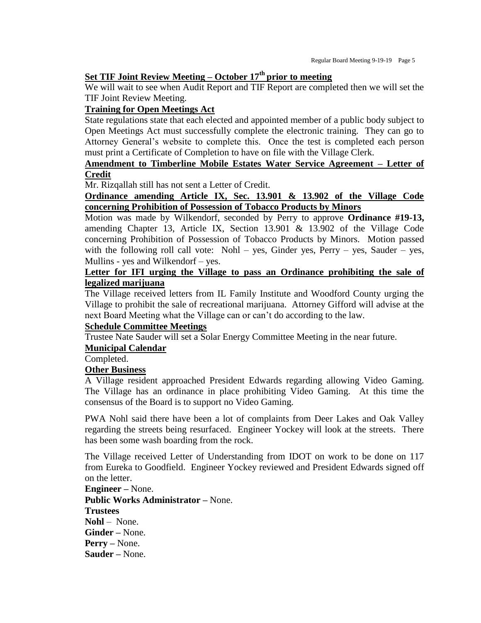# **Set TIF Joint Review Meeting – October 17th prior to meeting**

We will wait to see when Audit Report and TIF Report are completed then we will set the TIF Joint Review Meeting.

# **Training for Open Meetings Act**

State regulations state that each elected and appointed member of a public body subject to Open Meetings Act must successfully complete the electronic training. They can go to Attorney General's website to complete this. Once the test is completed each person must print a Certificate of Completion to have on file with the Village Clerk.

# **Amendment to Timberline Mobile Estates Water Service Agreement – Letter of Credit**

Mr. Rizqallah still has not sent a Letter of Credit.

# **Ordinance amending Article IX, Sec. 13.901 & 13.902 of the Village Code concerning Prohibition of Possession of Tobacco Products by Minors**

Motion was made by Wilkendorf, seconded by Perry to approve **Ordinance #19-13,**  amending Chapter 13, Article IX, Section 13.901 & 13.902 of the Village Code concerning Prohibition of Possession of Tobacco Products by Minors. Motion passed with the following roll call vote: Nohl – yes, Ginder yes, Perry – yes, Sauder – yes, Mullins - yes and Wilkendorf – yes.

# **Letter for IFI urging the Village to pass an Ordinance prohibiting the sale of legalized marijuana**

The Village received letters from IL Family Institute and Woodford County urging the Village to prohibit the sale of recreational marijuana. Attorney Gifford will advise at the next Board Meeting what the Village can or can't do according to the law.

# **Schedule Committee Meetings**

Trustee Nate Sauder will set a Solar Energy Committee Meeting in the near future.

#### **Municipal Calendar**

Completed.

# **Other Business**

A Village resident approached President Edwards regarding allowing Video Gaming. The Village has an ordinance in place prohibiting Video Gaming. At this time the consensus of the Board is to support no Video Gaming.

PWA Nohl said there have been a lot of complaints from Deer Lakes and Oak Valley regarding the streets being resurfaced. Engineer Yockey will look at the streets. There has been some wash boarding from the rock.

The Village received Letter of Understanding from IDOT on work to be done on 117 from Eureka to Goodfield. Engineer Yockey reviewed and President Edwards signed off on the letter.

**Engineer –** None. **Public Works Administrator –** None. **Trustees Nohl** – None. **Ginder –** None. **Perry –** None. **Sauder –** None.